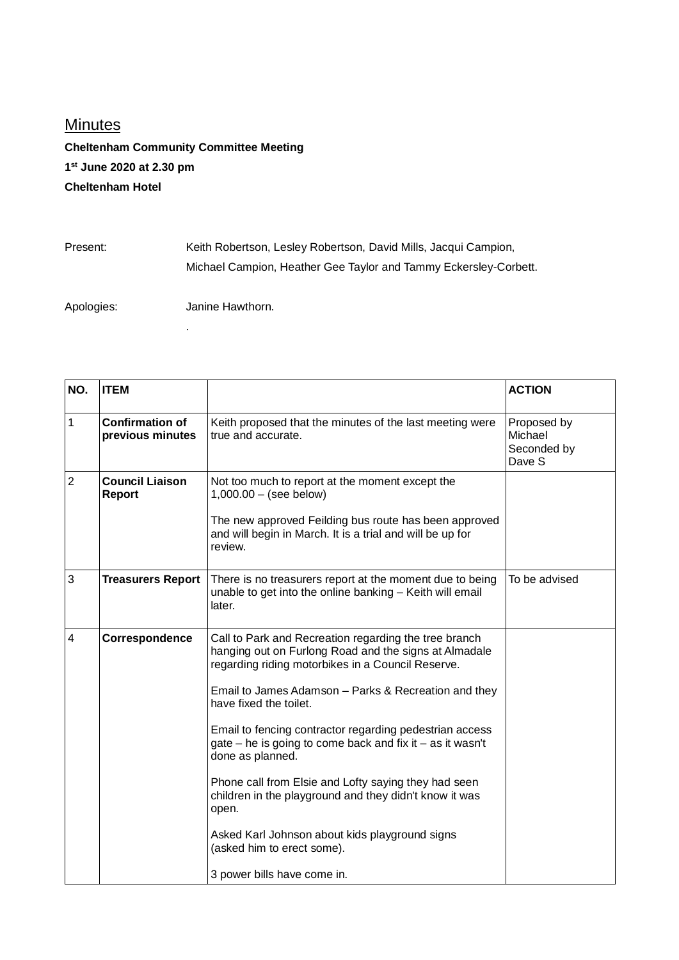## **Minutes**

**Cheltenham Community Committee Meeting 1 st June 2020 at 2.30 pm Cheltenham Hotel**

Present: Keith Robertson, Lesley Robertson, David Mills, Jacqui Campion, Michael Campion, Heather Gee Taylor and Tammy Eckersley-Corbett.

Apologies: Janine Hawthorn.

.

| NO.            | <b>ITEM</b>                                |                                                                                                                                                                                                                                                                                                                                                                                                                                                                                                                                                                                                                                             | <b>ACTION</b>                                   |
|----------------|--------------------------------------------|---------------------------------------------------------------------------------------------------------------------------------------------------------------------------------------------------------------------------------------------------------------------------------------------------------------------------------------------------------------------------------------------------------------------------------------------------------------------------------------------------------------------------------------------------------------------------------------------------------------------------------------------|-------------------------------------------------|
| 1              | <b>Confirmation of</b><br>previous minutes | Keith proposed that the minutes of the last meeting were<br>true and accurate.                                                                                                                                                                                                                                                                                                                                                                                                                                                                                                                                                              | Proposed by<br>Michael<br>Seconded by<br>Dave S |
| $\overline{2}$ | <b>Council Liaison</b><br><b>Report</b>    | Not too much to report at the moment except the<br>$1,000.00 - (see below)$<br>The new approved Feilding bus route has been approved<br>and will begin in March. It is a trial and will be up for<br>review.                                                                                                                                                                                                                                                                                                                                                                                                                                |                                                 |
| 3              | <b>Treasurers Report</b>                   | There is no treasurers report at the moment due to being<br>unable to get into the online banking - Keith will email<br>later.                                                                                                                                                                                                                                                                                                                                                                                                                                                                                                              | To be advised                                   |
| $\overline{4}$ | Correspondence                             | Call to Park and Recreation regarding the tree branch<br>hanging out on Furlong Road and the signs at Almadale<br>regarding riding motorbikes in a Council Reserve.<br>Email to James Adamson - Parks & Recreation and they<br>have fixed the toilet.<br>Email to fencing contractor regarding pedestrian access<br>gate – he is going to come back and fix it – as it wasn't<br>done as planned.<br>Phone call from Elsie and Lofty saying they had seen<br>children in the playground and they didn't know it was<br>open.<br>Asked Karl Johnson about kids playground signs<br>(asked him to erect some).<br>3 power bills have come in. |                                                 |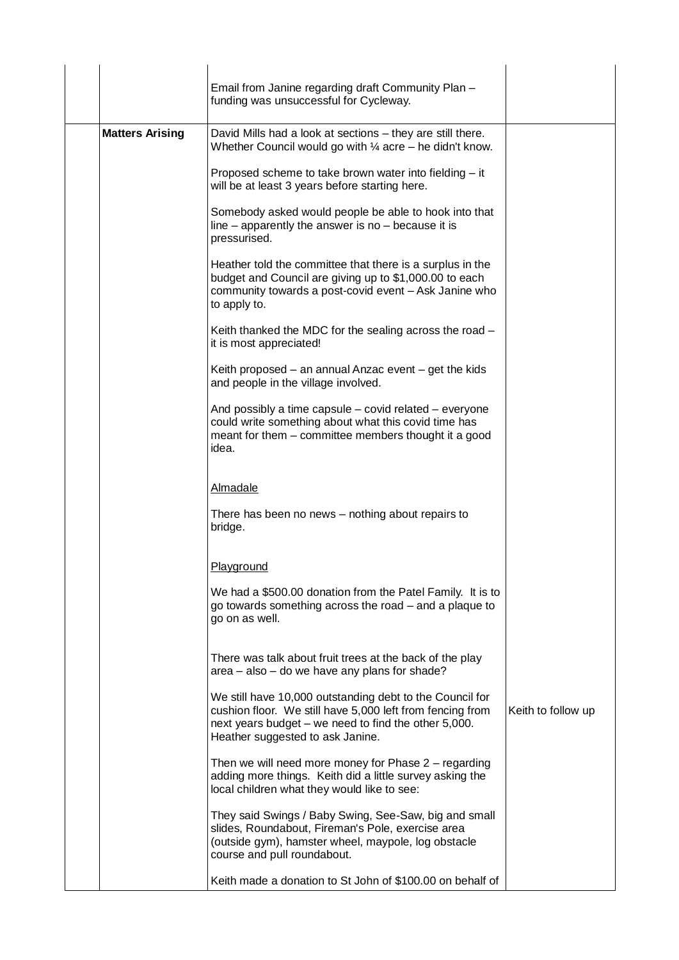|                        | Email from Janine regarding draft Community Plan -                                                                                                                                                                |                    |
|------------------------|-------------------------------------------------------------------------------------------------------------------------------------------------------------------------------------------------------------------|--------------------|
|                        | funding was unsuccessful for Cycleway.                                                                                                                                                                            |                    |
| <b>Matters Arising</b> | David Mills had a look at sections – they are still there.<br>Whether Council would go with $\frac{1}{4}$ acre – he didn't know.                                                                                  |                    |
|                        | Proposed scheme to take brown water into fielding – it<br>will be at least 3 years before starting here.                                                                                                          |                    |
|                        | Somebody asked would people be able to hook into that<br>line $-$ apparently the answer is no $-$ because it is<br>pressurised.                                                                                   |                    |
|                        | Heather told the committee that there is a surplus in the<br>budget and Council are giving up to \$1,000.00 to each<br>community towards a post-covid event - Ask Janine who<br>to apply to.                      |                    |
|                        | Keith thanked the MDC for the sealing across the road -<br>it is most appreciated!                                                                                                                                |                    |
|                        | Keith proposed $-$ an annual Anzac event $-$ get the kids<br>and people in the village involved.                                                                                                                  |                    |
|                        | And possibly a time capsule – covid related – everyone<br>could write something about what this covid time has<br>meant for them – committee members thought it a good<br>idea.                                   |                    |
|                        | <b>Almadale</b>                                                                                                                                                                                                   |                    |
|                        | There has been no news – nothing about repairs to<br>bridge.                                                                                                                                                      |                    |
|                        | Playground                                                                                                                                                                                                        |                    |
|                        | We had a \$500.00 donation from the Patel Family. It is to<br>go towards something across the road – and a plaque to<br>go on as well.                                                                            |                    |
|                        | There was talk about fruit trees at the back of the play<br>area - also - do we have any plans for shade?                                                                                                         |                    |
|                        | We still have 10,000 outstanding debt to the Council for<br>cushion floor. We still have 5,000 left from fencing from<br>next years budget – we need to find the other 5,000.<br>Heather suggested to ask Janine. | Keith to follow up |
|                        | Then we will need more money for Phase $2$ – regarding<br>adding more things. Keith did a little survey asking the<br>local children what they would like to see:                                                 |                    |
|                        | They said Swings / Baby Swing, See-Saw, big and small<br>slides, Roundabout, Fireman's Pole, exercise area<br>(outside gym), hamster wheel, maypole, log obstacle<br>course and pull roundabout.                  |                    |
|                        | Keith made a donation to St John of \$100.00 on behalf of                                                                                                                                                         |                    |